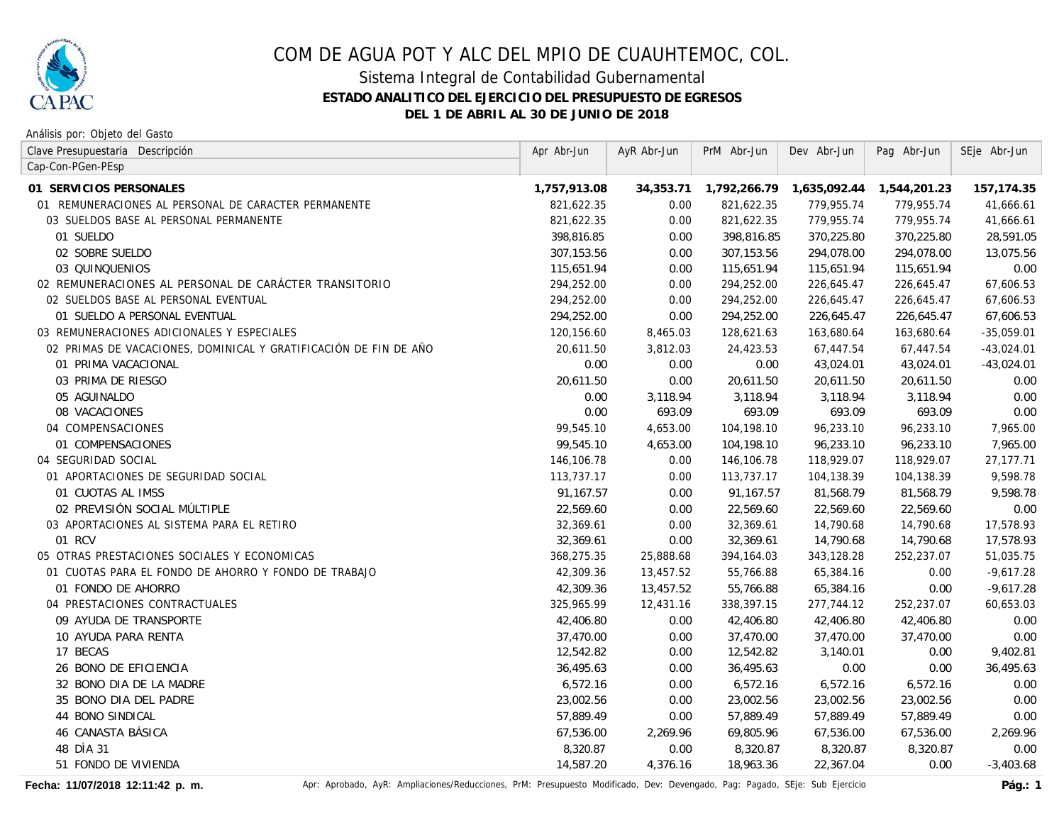

### Sistema Integral de Contabilidad Gubernamental **ESTADO ANALITICO DEL EJERCICIO DEL PRESUPUESTO DE EGRESOS DEL 1 DE ABRIL AL 30 DE JUNIO DE 2018**

Análisis por: Objeto del Gasto

| Clave Presupuestaria Descripción                                 | Apr Abr-Jun  | AyR Abr-Jun | PrM Abr-Jun  | Dev Abr-Jun  | Pag Abr-Jun  | SEje Abr-Jun |
|------------------------------------------------------------------|--------------|-------------|--------------|--------------|--------------|--------------|
| Cap-Con-PGen-PEsp                                                |              |             |              |              |              |              |
| 01 SERVICIOS PERSONALES                                          | 1,757,913.08 | 34,353.71   | 1,792,266.79 | 1,635,092.44 | 1,544,201.23 | 157,174.35   |
| 01 REMUNERACIONES AL PERSONAL DE CARACTER PERMANENTE             | 821,622.35   | 0.00        | 821,622.35   | 779,955.74   | 779,955.74   | 41,666.61    |
| 03 SUELDOS BASE AL PERSONAL PERMANENTE                           | 821,622.35   | 0.00        | 821,622.35   | 779,955.74   | 779,955.74   | 41,666.61    |
| 01 SUELDO                                                        | 398,816.85   | 0.00        | 398,816.85   | 370,225.80   | 370,225.80   | 28,591.05    |
| 02 SOBRE SUELDO                                                  | 307,153.56   | 0.00        | 307,153.56   | 294,078.00   | 294,078.00   | 13,075.56    |
| 03 QUINQUENIOS                                                   | 115,651.94   | 0.00        | 115,651.94   | 115,651.94   | 115,651.94   | 0.00         |
| 02 REMUNERACIONES AL PERSONAL DE CARÁCTER TRANSITORIO            | 294,252.00   | 0.00        | 294,252.00   | 226,645.47   | 226,645.47   | 67,606.53    |
| 02 SUELDOS BASE AL PERSONAL EVENTUAL                             | 294,252.00   | 0.00        | 294,252.00   | 226,645.47   | 226,645.47   | 67,606.53    |
| 01 SUELDO A PERSONAL EVENTUAL                                    | 294,252.00   | 0.00        | 294,252.00   | 226,645.47   | 226,645.47   | 67,606.53    |
| 03 REMUNERACIONES ADICIONALES Y ESPECIALES                       | 120,156.60   | 8,465.03    | 128,621.63   | 163,680.64   | 163,680.64   | $-35,059.01$ |
| 02 PRIMAS DE VACACIONES, DOMINICAL Y GRATIFICACIÓN DE FIN DE AÑO | 20,611.50    | 3,812.03    | 24,423.53    | 67,447.54    | 67,447.54    | $-43,024.01$ |
| 01 PRIMA VACACIONAL                                              | 0.00         | 0.00        | 0.00         | 43,024.01    | 43,024.01    | $-43,024.01$ |
| 03 PRIMA DE RIESGO                                               | 20,611.50    | 0.00        | 20,611.50    | 20,611.50    | 20,611.50    | 0.00         |
| 05 AGUINALDO                                                     | 0.00         | 3,118.94    | 3,118.94     | 3,118.94     | 3,118.94     | 0.00         |
| 08 VACACIONES                                                    | 0.00         | 693.09      | 693.09       | 693.09       | 693.09       | 0.00         |
| 04 COMPENSACIONES                                                | 99,545.10    | 4,653.00    | 104,198.10   | 96,233.10    | 96,233.10    | 7,965.00     |
| 01 COMPENSACIONES                                                | 99,545.10    | 4,653.00    | 104,198.10   | 96,233.10    | 96,233.10    | 7,965.00     |
| 04 SEGURIDAD SOCIAL                                              | 146,106.78   | 0.00        | 146,106.78   | 118,929.07   | 118,929.07   | 27,177.71    |
| 01 APORTACIONES DE SEGURIDAD SOCIAL                              | 113,737.17   | 0.00        | 113,737.17   | 104,138.39   | 104,138.39   | 9,598.78     |
| 01 CUOTAS AL IMSS                                                | 91,167.57    | 0.00        | 91,167.57    | 81,568.79    | 81,568.79    | 9,598.78     |
| 02 PREVISIÓN SOCIAL MÚLTIPLE                                     | 22,569.60    | 0.00        | 22,569.60    | 22,569.60    | 22,569.60    | 0.00         |
| 03 APORTACIONES AL SISTEMA PARA EL RETIRO                        | 32,369.61    | 0.00        | 32,369.61    | 14,790.68    | 14,790.68    | 17,578.93    |
| 01 RCV                                                           | 32,369.61    | 0.00        | 32,369.61    | 14,790.68    | 14,790.68    | 17,578.93    |
| 05 OTRAS PRESTACIONES SOCIALES Y ECONOMICAS                      | 368,275.35   | 25,888.68   | 394,164.03   | 343,128.28   | 252,237.07   | 51,035.75    |
| 01 CUOTAS PARA EL FONDO DE AHORRO Y FONDO DE TRABAJO             | 42,309.36    | 13,457.52   | 55,766.88    | 65,384.16    | 0.00         | $-9,617.28$  |
| 01 FONDO DE AHORRO                                               | 42,309.36    | 13,457.52   | 55,766.88    | 65,384.16    | 0.00         | $-9,617.28$  |
| 04 PRESTACIONES CONTRACTUALES                                    | 325,965.99   | 12,431.16   | 338,397.15   | 277,744.12   | 252,237.07   | 60,653.03    |
| 09 AYUDA DE TRANSPORTE                                           | 42,406.80    | 0.00        | 42,406.80    | 42,406.80    | 42,406.80    | 0.00         |
| 10 AYUDA PARA RENTA                                              | 37,470.00    | 0.00        | 37,470.00    | 37,470.00    | 37,470.00    | 0.00         |
| 17 BECAS                                                         | 12,542.82    | 0.00        | 12,542.82    | 3,140.01     | 0.00         | 9,402.81     |
| 26 BONO DE EFICIENCIA                                            | 36,495.63    | 0.00        | 36,495.63    | 0.00         | 0.00         | 36,495.63    |
| 32 BONO DIA DE LA MADRE                                          | 6,572.16     | 0.00        | 6,572.16     | 6,572.16     | 6,572.16     | 0.00         |
| 35 BONO DIA DEL PADRE                                            | 23,002.56    | 0.00        | 23,002.56    | 23,002.56    | 23,002.56    | 0.00         |
| 44 BONO SINDICAL                                                 | 57,889.49    | 0.00        | 57,889.49    | 57,889.49    | 57,889.49    | 0.00         |
| 46 CANASTA BÁSICA                                                | 67,536.00    | 2,269.96    | 69,805.96    | 67,536.00    | 67,536.00    | 2,269.96     |
| 48 DÌA 31                                                        | 8,320.87     | 0.00        | 8,320.87     | 8,320.87     | 8,320.87     | 0.00         |
| 51 FONDO DE VIVIENDA                                             | 14,587.20    | 4,376.16    | 18,963.36    | 22,367.04    | 0.00         | $-3,403.68$  |

Fecha: 11/07/2018 12:11:42 p. m. <br>Pág.: 1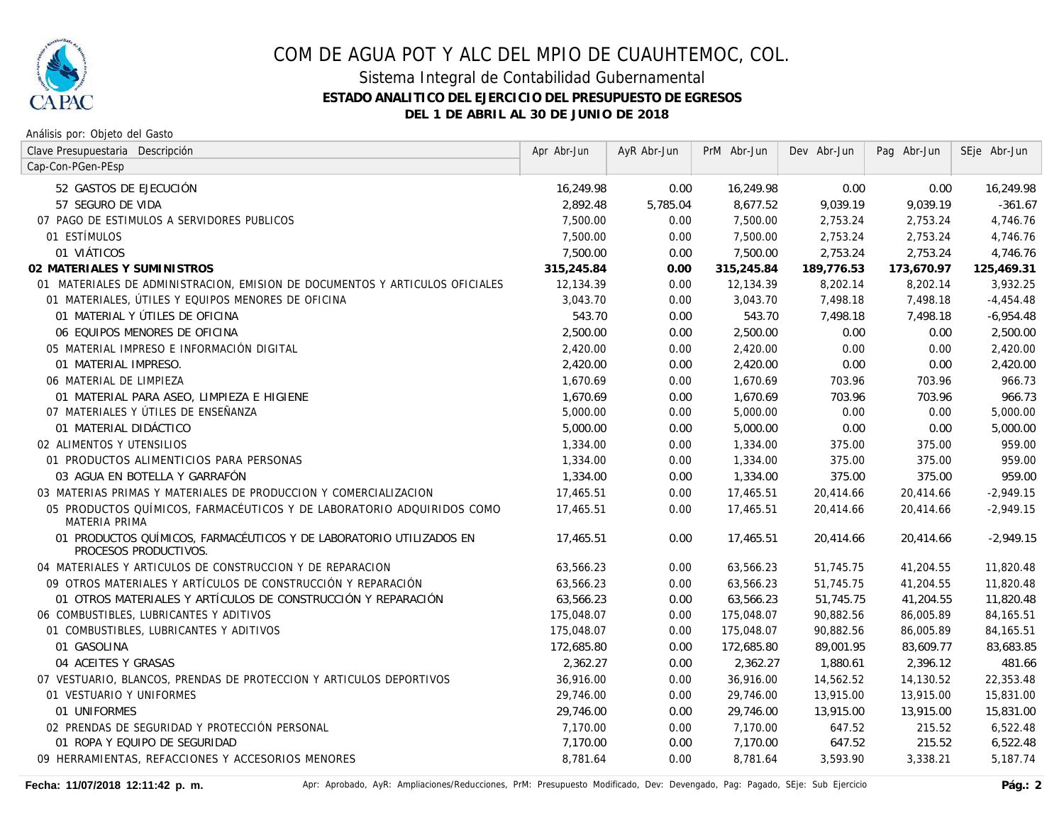

### Sistema Integral de Contabilidad Gubernamental **ESTADO ANALITICO DEL EJERCICIO DEL PRESUPUESTO DE EGRESOS DEL 1 DE ABRIL AL 30 DE JUNIO DE 2018**

Análisis por: Objeto del Gasto

| Clave Presupuestaria Descripción                                                              | Apr Abr-Jun | AyR Abr-Jun | PrM Abr-Jun | Dev Abr-Jun | Pag Abr-Jun | SEje Abr-Jun |
|-----------------------------------------------------------------------------------------------|-------------|-------------|-------------|-------------|-------------|--------------|
| Cap-Con-PGen-PEsp                                                                             |             |             |             |             |             |              |
| 52 GASTOS DE EJECUCIÓN                                                                        | 16,249.98   | 0.00        | 16,249.98   | 0.00        | 0.00        | 16,249.98    |
| 57 SEGURO DE VIDA                                                                             | 2,892.48    | 5,785.04    | 8,677.52    | 9,039.19    | 9,039.19    | $-361.67$    |
| 07 PAGO DE ESTIMULOS A SERVIDORES PUBLICOS                                                    | 7,500.00    | 0.00        | 7,500.00    | 2,753.24    | 2,753.24    | 4,746.76     |
| 01 ESTÍMULOS                                                                                  | 7,500.00    | 0.00        | 7,500.00    | 2,753.24    | 2,753.24    | 4,746.76     |
| 01 VIÁTICOS                                                                                   | 7,500.00    | 0.00        | 7,500.00    | 2,753.24    | 2,753.24    | 4,746.76     |
| 02 MATERIALES Y SUMINISTROS                                                                   | 315,245.84  | 0.00        | 315,245.84  | 189,776.53  | 173,670.97  | 125,469.31   |
| 01 MATERIALES DE ADMINISTRACION, EMISION DE DOCUMENTOS Y ARTICULOS OFICIALES                  | 12,134.39   | 0.00        | 12,134.39   | 8,202.14    | 8,202.14    | 3,932.25     |
| 01 MATERIALES, ÚTILES Y EQUIPOS MENORES DE OFICINA                                            | 3,043.70    | 0.00        | 3,043.70    | 7,498.18    | 7,498.18    | $-4,454.48$  |
| 01 MATERIAL Y ÚTILES DE OFICINA                                                               | 543.70      | 0.00        | 543.70      | 7,498.18    | 7.498.18    | $-6,954.48$  |
| 06 EQUIPOS MENORES DE OFICINA                                                                 | 2,500.00    | 0.00        | 2,500.00    | 0.00        | 0.00        | 2,500.00     |
| 05 MATERIAL IMPRESO E INFORMACIÓN DIGITAL                                                     | 2,420.00    | 0.00        | 2,420.00    | 0.00        | 0.00        | 2,420.00     |
| 01 MATERIAL IMPRESO.                                                                          | 2,420.00    | 0.00        | 2,420.00    | 0.00        | 0.00        | 2,420.00     |
| 06 MATERIAL DE LIMPIEZA                                                                       | 1,670.69    | 0.00        | 1,670.69    | 703.96      | 703.96      | 966.73       |
| 01 MATERIAL PARA ASEO, LIMPIEZA E HIGIENE                                                     | 1,670.69    | 0.00        | 1,670.69    | 703.96      | 703.96      | 966.73       |
| 07 MATERIALES Y ÚTILES DE ENSEÑANZA                                                           | 5,000.00    | 0.00        | 5,000.00    | 0.00        | 0.00        | 5,000.00     |
| 01 MATERIAL DIDÁCTICO                                                                         | 5,000.00    | 0.00        | 5,000.00    | 0.00        | 0.00        | 5,000.00     |
| 02 ALIMENTOS Y UTENSILIOS                                                                     | 1,334.00    | 0.00        | 1,334.00    | 375.00      | 375.00      | 959.00       |
| 01 PRODUCTOS ALIMENTICIOS PARA PERSONAS                                                       | 1,334.00    | 0.00        | 1,334.00    | 375.00      | 375.00      | 959.00       |
| 03 AGUA EN BOTELLA Y GARRAFÓN                                                                 | 1,334.00    | 0.00        | 1,334.00    | 375.00      | 375.00      | 959.00       |
| 03 MATERIAS PRIMAS Y MATERIALES DE PRODUCCION Y COMERCIALIZACION                              | 17,465.51   | 0.00        | 17,465.51   | 20,414.66   | 20,414.66   | $-2,949.15$  |
| 05 PRODUCTOS QUÍMICOS, FARMACÉUTICOS Y DE LABORATORIO ADQUIRIDOS COMO<br><b>MATERIA PRIMA</b> | 17.465.51   | 0.00        | 17,465.51   | 20.414.66   | 20,414.66   | $-2,949.15$  |
| 01 PRODUCTOS QUÍMICOS, FARMACÉUTICOS Y DE LABORATORIO UTILIZADOS EN<br>PROCESOS PRODUCTIVOS.  | 17,465.51   | 0.00        | 17,465.51   | 20,414.66   | 20,414.66   | $-2,949.15$  |
| 04 MATERIALES Y ARTICULOS DE CONSTRUCCION Y DE REPARACION                                     | 63,566.23   | 0.00        | 63,566.23   | 51,745.75   | 41,204.55   | 11,820.48    |
| 09 OTROS MATERIALES Y ARTÍCULOS DE CONSTRUCCIÓN Y REPARACIÓN                                  | 63,566.23   | 0.00        | 63,566.23   | 51.745.75   | 41,204.55   | 11,820.48    |
| 01 OTROS MATERIALES Y ARTÍCULOS DE CONSTRUCCIÓN Y REPARACIÓN                                  | 63,566.23   | 0.00        | 63,566.23   | 51,745.75   | 41,204.55   | 11,820.48    |
| 06 COMBUSTIBLES, LUBRICANTES Y ADITIVOS                                                       | 175,048.07  | 0.00        | 175,048.07  | 90,882.56   | 86,005.89   | 84,165.51    |
| 01 COMBUSTIBLES, LUBRICANTES Y ADITIVOS                                                       | 175,048.07  | 0.00        | 175,048.07  | 90,882.56   | 86,005.89   | 84,165.51    |
| 01 GASOLINA                                                                                   | 172,685.80  | 0.00        | 172,685.80  | 89,001.95   | 83,609.77   | 83,683.85    |
| 04 ACEITES Y GRASAS                                                                           | 2,362.27    | 0.00        | 2,362.27    | 1,880.61    | 2,396.12    | 481.66       |
| 07 VESTUARIO, BLANCOS, PRENDAS DE PROTECCION Y ARTICULOS DEPORTIVOS                           | 36,916.00   | 0.00        | 36,916.00   | 14,562.52   | 14,130.52   | 22,353.48    |
| 01 VESTUARIO Y UNIFORMES                                                                      | 29,746.00   | 0.00        | 29,746.00   | 13,915.00   | 13,915.00   | 15,831.00    |
| 01 UNIFORMES                                                                                  | 29,746.00   | 0.00        | 29,746.00   | 13,915.00   | 13,915.00   | 15,831.00    |
| 02 PRENDAS DE SEGURIDAD Y PROTECCIÓN PERSONAL                                                 | 7,170.00    | 0.00        | 7,170.00    | 647.52      | 215.52      | 6,522.48     |
| 01 ROPA Y EQUIPO DE SEGURIDAD                                                                 | 7,170.00    | 0.00        | 7,170.00    | 647.52      | 215.52      | 6,522.48     |
| 09 HERRAMIENTAS, REFACCIONES Y ACCESORIOS MENORES                                             | 8,781.64    | 0.00        | 8,781.64    | 3,593.90    | 3,338.21    | 5,187.74     |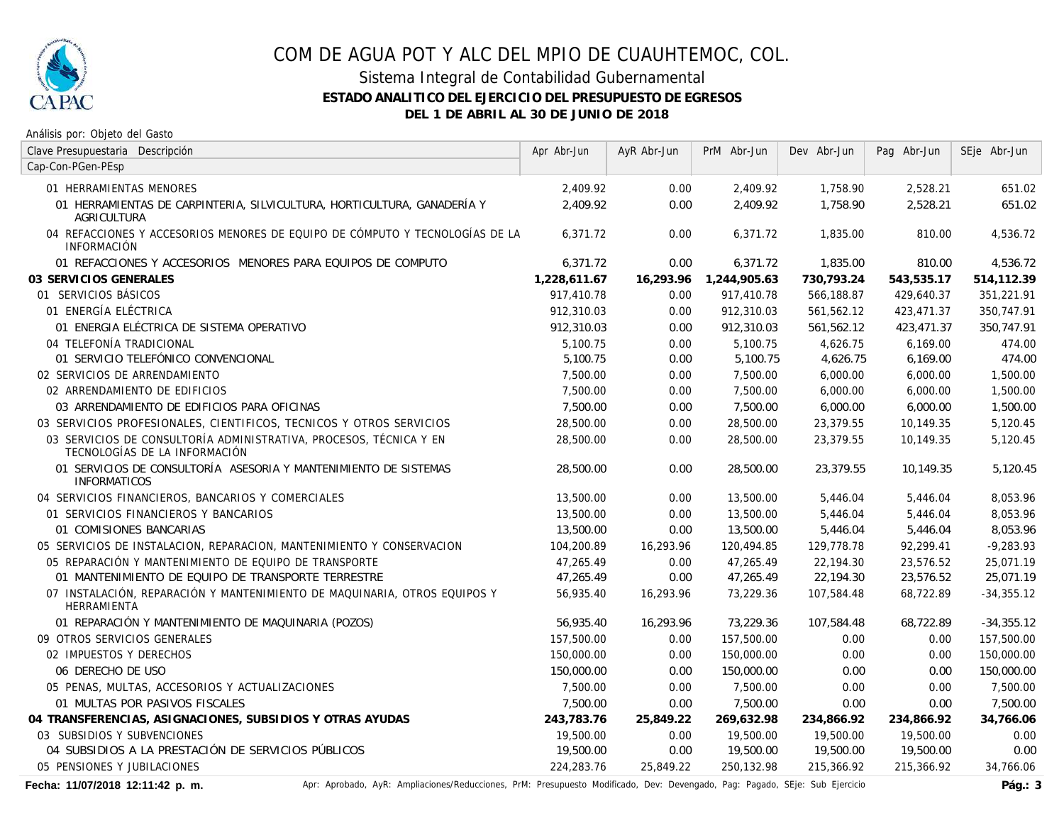

### Sistema Integral de Contabilidad Gubernamental **ESTADO ANALITICO DEL EJERCICIO DEL PRESUPUESTO DE EGRESOS DEL 1 DE ABRIL AL 30 DE JUNIO DE 2018**

Análisis por: Objeto del Gasto

| Clave Presupuestaria Descripción                                                                    | Apr Abr-Jun  | AyR Abr-Jun | PrM Abr-Jun  | Dev Abr-Jun | Pag Abr-Jun | SEje Abr-Jun |
|-----------------------------------------------------------------------------------------------------|--------------|-------------|--------------|-------------|-------------|--------------|
| Cap-Con-PGen-PEsp                                                                                   |              |             |              |             |             |              |
| 01 HERRAMIENTAS MENORES                                                                             | 2,409.92     | 0.00        | 2,409.92     | 1,758.90    | 2,528.21    | 651.02       |
| 01 HERRAMIENTAS DE CARPINTERIA, SILVICULTURA, HORTICULTURA, GANADERÍA Y<br><b>AGRICULTURA</b>       | 2,409.92     | 0.00        | 2,409.92     | 1,758.90    | 2,528.21    | 651.02       |
| 04 REFACCIONES Y ACCESORIOS MENORES DE EQUIPO DE CÓMPUTO Y TECNOLOGÍAS DE LA<br><b>INFORMACIÓN</b>  | 6.371.72     | 0.00        | 6.371.72     | 1,835.00    | 810.00      | 4,536.72     |
| 01 REFACCIONES Y ACCESORIOS MENORES PARA EQUIPOS DE COMPUTO                                         | 6,371.72     | 0.00        | 6,371.72     | 1,835.00    | 810.00      | 4,536.72     |
| 03 SERVICIOS GENERALES                                                                              | 1,228,611.67 | 16,293.96   | 1,244,905.63 | 730,793.24  | 543,535.17  | 514,112.39   |
| 01 SERVICIOS BÁSICOS                                                                                | 917,410.78   | 0.00        | 917,410.78   | 566,188.87  | 429,640.37  | 351,221.91   |
| 01 ENERGÍA ELÉCTRICA                                                                                | 912,310.03   | 0.00        | 912,310.03   | 561,562.12  | 423,471.37  | 350,747.91   |
| 01 ENERGIA ELÉCTRICA DE SISTEMA OPERATIVO                                                           | 912,310.03   | 0.00        | 912,310.03   | 561,562.12  | 423,471.37  | 350,747.91   |
| 04 TELEFONÍA TRADICIONAL                                                                            | 5,100.75     | 0.00        | 5,100.75     | 4,626.75    | 6,169.00    | 474.00       |
| 01 SERVICIO TELEFÓNICO CONVENCIONAL                                                                 | 5,100.75     | 0.00        | 5,100.75     | 4,626.75    | 6,169.00    | 474.00       |
| 02 SERVICIOS DE ARRENDAMIENTO                                                                       | 7,500.00     | 0.00        | 7,500.00     | 6,000.00    | 6,000.00    | 1,500.00     |
| 02 ARRENDAMIENTO DE EDIFICIOS                                                                       | 7,500.00     | 0.00        | 7,500.00     | 6,000.00    | 6,000.00    | 1,500.00     |
| 03 ARRENDAMIENTO DE EDIFICIOS PARA OFICINAS                                                         | 7,500.00     | 0.00        | 7,500.00     | 6,000.00    | 6,000.00    | 1,500.00     |
| 03 SERVICIOS PROFESIONALES, CIENTIFICOS, TECNICOS Y OTROS SERVICIOS                                 | 28,500.00    | 0.00        | 28,500.00    | 23,379.55   | 10,149.35   | 5,120.45     |
| 03 SERVICIOS DE CONSULTORÍA ADMINISTRATIVA, PROCESOS, TÉCNICA Y EN<br>TECNOLOGÍAS DE LA INFORMACIÓN | 28,500.00    | 0.00        | 28,500.00    | 23,379.55   | 10,149.35   | 5,120.45     |
| 01 SERVICIOS DE CONSULTORÍA ASESORIA Y MANTENIMIENTO DE SISTEMAS<br><b>INFORMATICOS</b>             | 28,500.00    | 0.00        | 28,500.00    | 23.379.55   | 10,149.35   | 5,120.45     |
| 04 SERVICIOS FINANCIEROS, BANCARIOS Y COMERCIALES                                                   | 13,500.00    | 0.00        | 13,500.00    | 5,446.04    | 5,446.04    | 8,053.96     |
| 01 SERVICIOS FINANCIEROS Y BANCARIOS                                                                | 13,500.00    | 0.00        | 13,500.00    | 5,446.04    | 5,446.04    | 8,053.96     |
| 01 COMISIONES BANCARIAS                                                                             | 13,500.00    | 0.00        | 13,500.00    | 5,446.04    | 5,446.04    | 8,053.96     |
| 05 SERVICIOS DE INSTALACION, REPARACION, MANTENIMIENTO Y CONSERVACION                               | 104,200.89   | 16,293.96   | 120,494.85   | 129,778.78  | 92,299.41   | $-9,283.93$  |
| 05 REPARACIÓN Y MANTENIMIENTO DE EQUIPO DE TRANSPORTE                                               | 47,265.49    | 0.00        | 47,265.49    | 22,194.30   | 23,576.52   | 25,071.19    |
| 01 MANTENIMIENTO DE EQUIPO DE TRANSPORTE TERRESTRE                                                  | 47,265.49    | 0.00        | 47,265.49    | 22,194.30   | 23,576.52   | 25,071.19    |
| 07 INSTALACIÓN, REPARACIÓN Y MANTENIMIENTO DE MAQUINARIA, OTROS EQUIPOS Y<br>HERRAMIENTA            | 56,935.40    | 16,293.96   | 73,229.36    | 107,584.48  | 68,722.89   | $-34,355.12$ |
| 01 REPARACIÓN Y MANTENIMIENTO DE MAQUINARIA (POZOS)                                                 | 56,935.40    | 16,293.96   | 73,229.36    | 107,584.48  | 68,722.89   | $-34,355.12$ |
| 09 OTROS SERVICIOS GENERALES                                                                        | 157,500.00   | 0.00        | 157,500.00   | 0.00        | 0.00        | 157,500.00   |
| 02 IMPUESTOS Y DERECHOS                                                                             | 150,000.00   | 0.00        | 150,000.00   | 0.00        | 0.00        | 150,000.00   |
| 06 DERECHO DE USO                                                                                   | 150,000.00   | 0.00        | 150,000.00   | 0.00        | 0.00        | 150,000.00   |
| 05 PENAS, MULTAS, ACCESORIOS Y ACTUALIZACIONES                                                      | 7,500.00     | 0.00        | 7,500.00     | 0.00        | 0.00        | 7,500.00     |
| 01 MULTAS POR PASIVOS FISCALES                                                                      | 7,500.00     | 0.00        | 7,500.00     | 0.00        | 0.00        | 7,500.00     |
| 04 TRANSFERENCIAS, ASIGNACIONES, SUBSIDIOS Y OTRAS AYUDAS                                           | 243,783.76   | 25,849.22   | 269,632.98   | 234,866.92  | 234,866.92  | 34,766.06    |
| 03 SUBSIDIOS Y SUBVENCIONES                                                                         | 19,500.00    | 0.00        | 19,500.00    | 19,500.00   | 19,500.00   | 0.00         |
| 04 SUBSIDIOS A LA PRESTACIÓN DE SERVICIOS PÚBLICOS                                                  | 19,500.00    | 0.00        | 19,500.00    | 19,500.00   | 19,500.00   | 0.00         |
| 05 PENSIONES Y JUBILACIONES                                                                         | 224.283.76   | 25,849.22   | 250.132.98   | 215,366.92  | 215.366.92  | 34,766.06    |

Fecha: 11/07/2018 12:11:42 p. m. <br>Pág.: 3